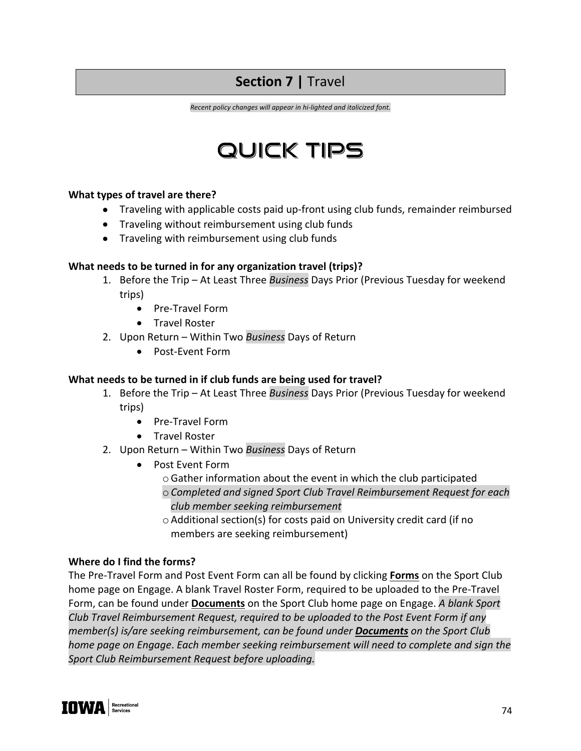# **Section 7 | Travel**

*Recent policy changes will appear in hi-lighted and italicized font.*

# QUICK TIPS

#### **What types of travel are there?**

- Traveling with applicable costs paid up-front using club funds, remainder reimbursed
- Traveling without reimbursement using club funds
- Traveling with reimbursement using club funds

#### **What needs to be turned in for any organization travel (trips)?**

- 1. Before the Trip At Least Three *Business* Days Prior (Previous Tuesday for weekend trips)
	- Pre-Travel Form
	- Travel Roster
- 2. Upon Return Within Two *Business* Days of Return
	- Post-Event Form

#### **What needs to be turned in if club funds are being used for travel?**

- 1. Before the Trip At Least Three *Business* Days Prior (Previous Tuesday for weekend trips)
	- Pre-Travel Form
	- Travel Roster
- 2. Upon Return Within Two *Business* Days of Return
	- Post Event Form
		- oGather information about the event in which the club participated
		- o *Completed and signed Sport Club Travel Reimbursement Request for each club member seeking reimbursement*
		- o Additional section(s) for costs paid on University credit card (if no members are seeking reimbursement)

#### **Where do I find the forms?**

The Pre-Travel Form and Post Event Form can all be found by clicking **Forms** on the Sport Club home page on Engage. A blank Travel Roster Form, required to be uploaded to the Pre-Travel Form, can be found under **Documents** on the Sport Club home page on Engage. *A blank Sport Club Travel Reimbursement Request, required to be uploaded to the Post Event Form if any member(s) is/are seeking reimbursement, can be found under Documents on the Sport Club home page on Engage*. *Each member seeking reimbursement will need to complete and sign the Sport Club Reimbursement Request before uploading.*

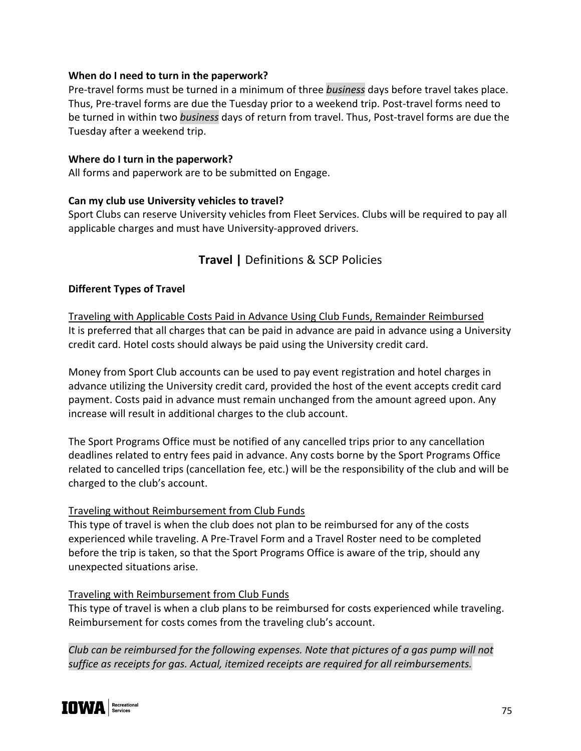#### **When do I need to turn in the paperwork?**

Pre-travel forms must be turned in a minimum of three *business* days before travel takes place. Thus, Pre-travel forms are due the Tuesday prior to a weekend trip. Post-travel forms need to be turned in within two *business* days of return from travel. Thus, Post-travel forms are due the Tuesday after a weekend trip.

#### **Where do I turn in the paperwork?**

All forms and paperwork are to be submitted on Engage.

#### **Can my club use University vehicles to travel?**

Sport Clubs can reserve University vehicles from Fleet Services. Clubs will be required to pay all applicable charges and must have University-approved drivers.

# **Travel |** Definitions & SCP Policies

#### **Different Types of Travel**

Traveling with Applicable Costs Paid in Advance Using Club Funds, Remainder Reimbursed It is preferred that all charges that can be paid in advance are paid in advance using a University credit card. Hotel costs should always be paid using the University credit card.

Money from Sport Club accounts can be used to pay event registration and hotel charges in advance utilizing the University credit card, provided the host of the event accepts credit card payment. Costs paid in advance must remain unchanged from the amount agreed upon. Any increase will result in additional charges to the club account.

The Sport Programs Office must be notified of any cancelled trips prior to any cancellation deadlines related to entry fees paid in advance. Any costs borne by the Sport Programs Office related to cancelled trips (cancellation fee, etc.) will be the responsibility of the club and will be charged to the club's account.

#### Traveling without Reimbursement from Club Funds

This type of travel is when the club does not plan to be reimbursed for any of the costs experienced while traveling. A Pre-Travel Form and a Travel Roster need to be completed before the trip is taken, so that the Sport Programs Office is aware of the trip, should any unexpected situations arise.

#### Traveling with Reimbursement from Club Funds

This type of travel is when a club plans to be reimbursed for costs experienced while traveling. Reimbursement for costs comes from the traveling club's account.

*Club can be reimbursed for the following expenses. Note that pictures of a gas pump will not suffice as receipts for gas. Actual, itemized receipts are required for all reimbursements.*

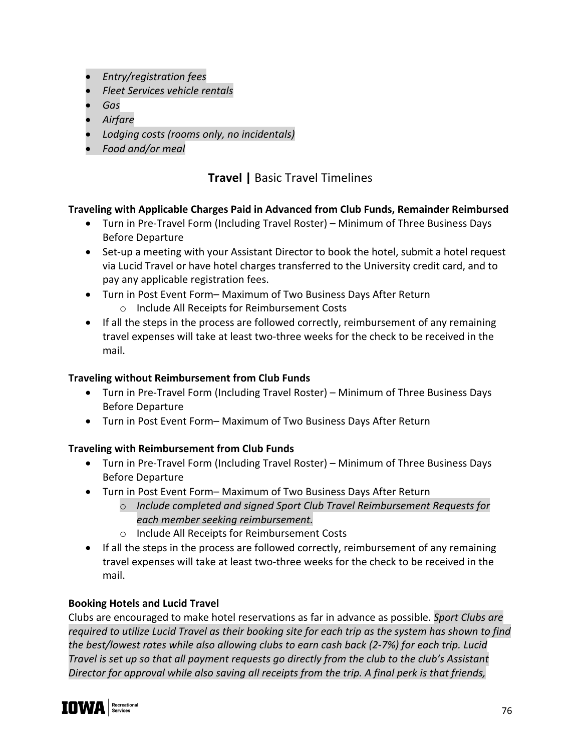- *Entry/registration fees*
- *Fleet Services vehicle rentals*
- *Gas*
- *Airfare*
- *Lodging costs (rooms only, no incidentals)*
- *Food and/or meal*

# **Travel |** Basic Travel Timelines

# **Traveling with Applicable Charges Paid in Advanced from Club Funds, Remainder Reimbursed**

- Turn in Pre-Travel Form (Including Travel Roster) Minimum of Three Business Days Before Departure
- Set-up a meeting with your Assistant Director to book the hotel, submit a hotel request via Lucid Travel or have hotel charges transferred to the University credit card, and to pay any applicable registration fees.
- Turn in Post Event Form– Maximum of Two Business Days After Return o Include All Receipts for Reimbursement Costs
- If all the steps in the process are followed correctly, reimbursement of any remaining travel expenses will take at least two-three weeks for the check to be received in the mail.

# **Traveling without Reimbursement from Club Funds**

- Turn in Pre-Travel Form (Including Travel Roster) Minimum of Three Business Days Before Departure
- Turn in Post Event Form– Maximum of Two Business Days After Return

# **Traveling with Reimbursement from Club Funds**

- Turn in Pre-Travel Form (Including Travel Roster) Minimum of Three Business Days Before Departure
- Turn in Post Event Form– Maximum of Two Business Days After Return
	- o *Include completed and signed Sport Club Travel Reimbursement Requests for each member seeking reimbursement.*
	- o Include All Receipts for Reimbursement Costs
- If all the steps in the process are followed correctly, reimbursement of any remaining travel expenses will take at least two-three weeks for the check to be received in the mail.

# **Booking Hotels and Lucid Travel**

Clubs are encouraged to make hotel reservations as far in advance as possible. *Sport Clubs are required to utilize Lucid Travel as their booking site for each trip as the system has shown to find the best/lowest rates while also allowing clubs to earn cash back (2-7%) for each trip. Lucid Travel is set up so that all payment requests go directly from the club to the club's Assistant Director for approval while also saving all receipts from the trip. A final perk is that friends,* 

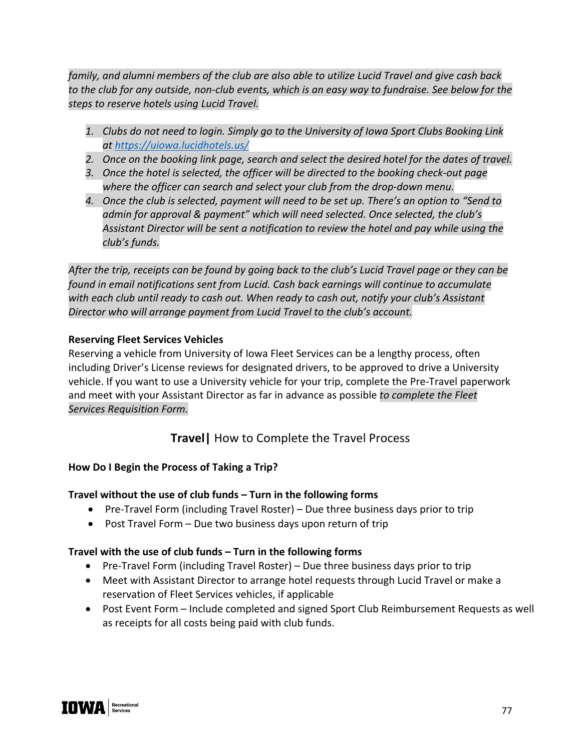*family, and alumni members of the club are also able to utilize Lucid Travel and give cash back to the club for any outside, non-club events, which is an easy way to fundraise. See below for the steps to reserve hotels using Lucid Travel.*

- *1. Clubs do not need to login. Simply go to the University of Iowa Sport Clubs Booking Link at https://uiowa.lucidhotels.us/*
- *2. Once on the booking link page, search and select the desired hotel for the dates of travel.*
- *3. Once the hotel is selected, the officer will be directed to the booking check-out page where the officer can search and select your club from the drop-down menu.*
- *4. Once the club is selected, payment will need to be set up. There's an option to "Send to admin for approval & payment" which will need selected. Once selected, the club's Assistant Director will be sent a notification to review the hotel and pay while using the club's funds.*

*After the trip, receipts can be found by going back to the club's Lucid Travel page or they can be found in email notifications sent from Lucid. Cash back earnings will continue to accumulate with each club until ready to cash out. When ready to cash out, notify your club's Assistant Director who will arrange payment from Lucid Travel to the club's account.* 

# **Reserving Fleet Services Vehicles**

Reserving a vehicle from University of Iowa Fleet Services can be a lengthy process, often including Driver's License reviews for designated drivers, to be approved to drive a University vehicle. If you want to use a University vehicle for your trip, complete the Pre-Travel paperwork and meet with your Assistant Director as far in advance as possible *to complete the Fleet Services Requisition Form.*

# **Travel|** How to Complete the Travel Process

# **How Do I Begin the Process of Taking a Trip?**

# **Travel without the use of club funds – Turn in the following forms**

- Pre-Travel Form (including Travel Roster) Due three business days prior to trip
- Post Travel Form Due two business days upon return of trip

# **Travel with the use of club funds – Turn in the following forms**

- Pre-Travel Form (including Travel Roster) Due three business days prior to trip
- Meet with Assistant Director to arrange hotel requests through Lucid Travel or make a reservation of Fleet Services vehicles, if applicable
- Post Event Form Include completed and signed Sport Club Reimbursement Requests as well as receipts for all costs being paid with club funds.

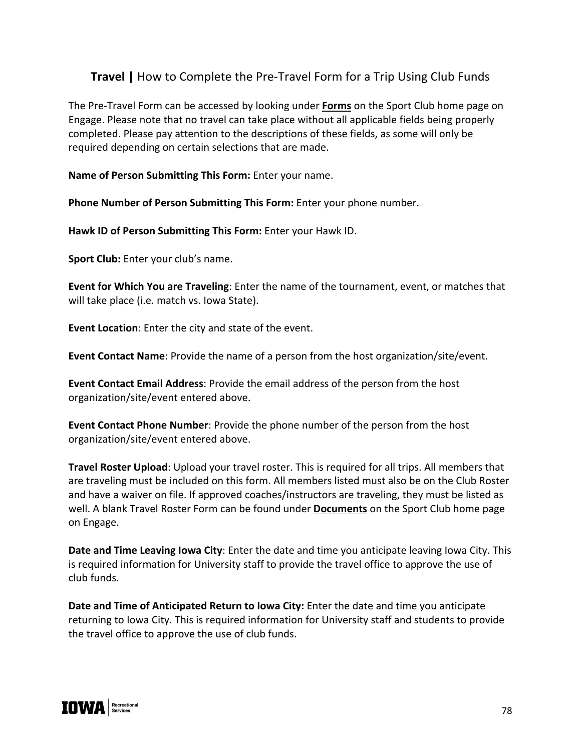# **Travel |** How to Complete the Pre-Travel Form for a Trip Using Club Funds

The Pre-Travel Form can be accessed by looking under **Forms** on the Sport Club home page on Engage. Please note that no travel can take place without all applicable fields being properly completed. Please pay attention to the descriptions of these fields, as some will only be required depending on certain selections that are made.

**Name of Person Submitting This Form:** Enter your name.

Phone Number of Person Submitting This Form: Enter your phone number.

**Hawk ID of Person Submitting This Form:** Enter your Hawk ID.

**Sport Club:** Enter your club's name.

**Event for Which You are Traveling**: Enter the name of the tournament, event, or matches that will take place (i.e. match vs. Iowa State).

**Event Location**: Enter the city and state of the event.

**Event Contact Name**: Provide the name of a person from the host organization/site/event.

**Event Contact Email Address**: Provide the email address of the person from the host organization/site/event entered above.

**Event Contact Phone Number**: Provide the phone number of the person from the host organization/site/event entered above.

**Travel Roster Upload**: Upload your travel roster. This is required for all trips. All members that are traveling must be included on this form. All members listed must also be on the Club Roster and have a waiver on file. If approved coaches/instructors are traveling, they must be listed as well. A blank Travel Roster Form can be found under **Documents** on the Sport Club home page on Engage.

**Date and Time Leaving Iowa City**: Enter the date and time you anticipate leaving Iowa City. This is required information for University staff to provide the travel office to approve the use of club funds.

**Date and Time of Anticipated Return to Iowa City:** Enter the date and time you anticipate returning to Iowa City. This is required information for University staff and students to provide the travel office to approve the use of club funds.

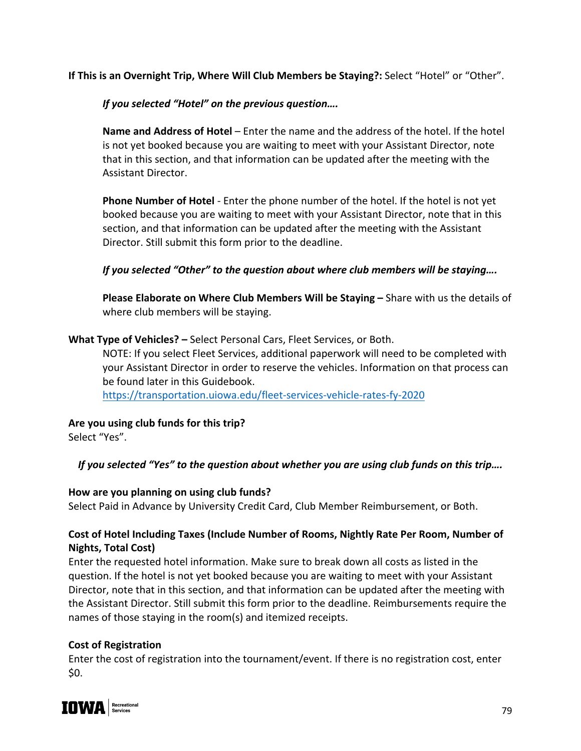**If This is an Overnight Trip, Where Will Club Members be Staying?:** Select "Hotel" or "Other".

*If you selected "Hotel" on the previous question….*

**Name and Address of Hotel** – Enter the name and the address of the hotel. If the hotel is not yet booked because you are waiting to meet with your Assistant Director, note that in this section, and that information can be updated after the meeting with the Assistant Director.

**Phone Number of Hotel** - Enter the phone number of the hotel. If the hotel is not yet booked because you are waiting to meet with your Assistant Director, note that in this section, and that information can be updated after the meeting with the Assistant Director. Still submit this form prior to the deadline.

# *If you selected "Other" to the question about where club members will be staying….*

**Please Elaborate on Where Club Members Will be Staying –** Share with us the details of where club members will be staying.

**What Type of Vehicles? –** Select Personal Cars, Fleet Services, or Both.

NOTE: If you select Fleet Services, additional paperwork will need to be completed with your Assistant Director in order to reserve the vehicles. Information on that process can be found later in this Guidebook.

https://transportation.uiowa.edu/fleet-services-vehicle-rates-fy-2020

**Are you using club funds for this trip?** 

Select "Yes".

*If you selected "Yes" to the question about whether you are using club funds on this trip….*

# **How are you planning on using club funds?**

Select Paid in Advance by University Credit Card, Club Member Reimbursement, or Both.

# **Cost of Hotel Including Taxes (Include Number of Rooms, Nightly Rate Per Room, Number of Nights, Total Cost)**

Enter the requested hotel information. Make sure to break down all costs as listed in the question. If the hotel is not yet booked because you are waiting to meet with your Assistant Director, note that in this section, and that information can be updated after the meeting with the Assistant Director. Still submit this form prior to the deadline. Reimbursements require the names of those staying in the room(s) and itemized receipts.

# **Cost of Registration**

Enter the cost of registration into the tournament/event. If there is no registration cost, enter \$0.

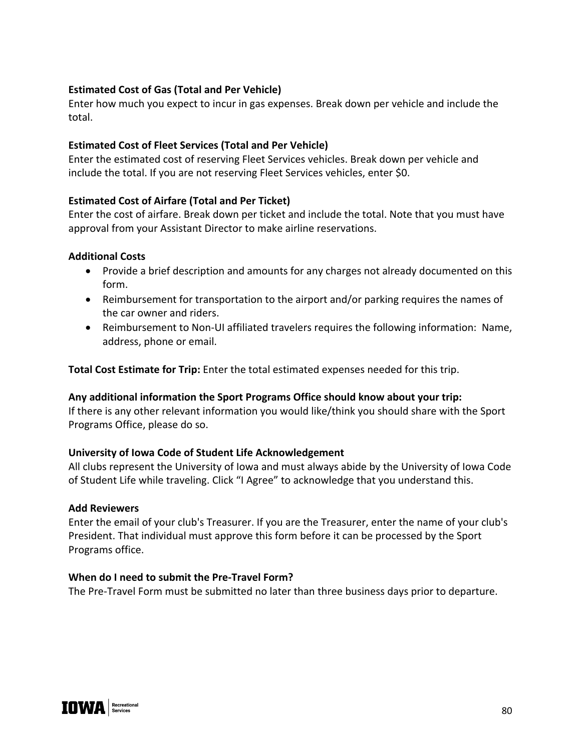# **Estimated Cost of Gas (Total and Per Vehicle)**

Enter how much you expect to incur in gas expenses. Break down per vehicle and include the total.

#### **Estimated Cost of Fleet Services (Total and Per Vehicle)**

Enter the estimated cost of reserving Fleet Services vehicles. Break down per vehicle and include the total. If you are not reserving Fleet Services vehicles, enter \$0.

#### **Estimated Cost of Airfare (Total and Per Ticket)**

Enter the cost of airfare. Break down per ticket and include the total. Note that you must have approval from your Assistant Director to make airline reservations.

#### **Additional Costs**

- Provide a brief description and amounts for any charges not already documented on this form.
- Reimbursement for transportation to the airport and/or parking requires the names of the car owner and riders.
- Reimbursement to Non-UI affiliated travelers requires the following information: Name, address, phone or email.

**Total Cost Estimate for Trip:** Enter the total estimated expenses needed for this trip.

#### **Any additional information the Sport Programs Office should know about your trip:**

If there is any other relevant information you would like/think you should share with the Sport Programs Office, please do so.

#### **University of Iowa Code of Student Life Acknowledgement**

All clubs represent the University of Iowa and must always abide by the University of Iowa Code of Student Life while traveling. Click "I Agree" to acknowledge that you understand this.

#### **Add Reviewers**

Enter the email of your club's Treasurer. If you are the Treasurer, enter the name of your club's President. That individual must approve this form before it can be processed by the Sport Programs office.

#### **When do I need to submit the Pre-Travel Form?**

The Pre-Travel Form must be submitted no later than three business days prior to departure.

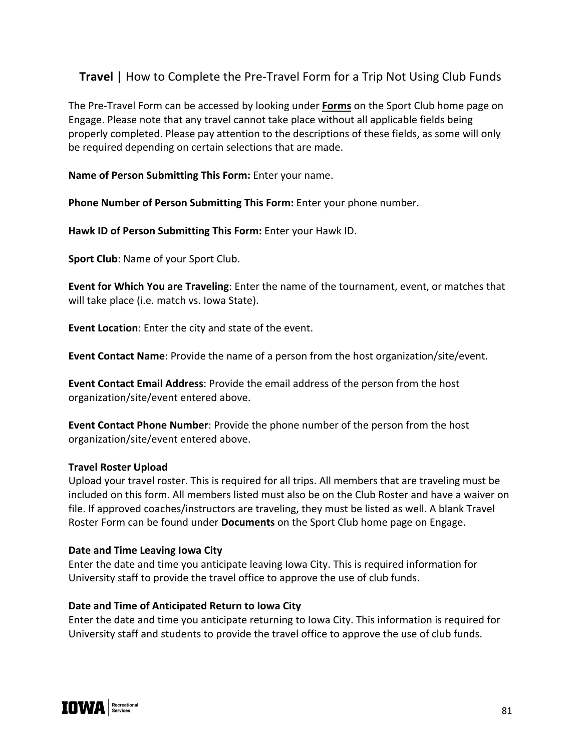# **Travel |** How to Complete the Pre-Travel Form for a Trip Not Using Club Funds

The Pre-Travel Form can be accessed by looking under **Forms** on the Sport Club home page on Engage. Please note that any travel cannot take place without all applicable fields being properly completed. Please pay attention to the descriptions of these fields, as some will only be required depending on certain selections that are made.

**Name of Person Submitting This Form:** Enter your name.

Phone Number of Person Submitting This Form: Enter your phone number.

**Hawk ID of Person Submitting This Form:** Enter your Hawk ID.

**Sport Club**: Name of your Sport Club.

**Event for Which You are Traveling**: Enter the name of the tournament, event, or matches that will take place (i.e. match vs. Iowa State).

**Event Location**: Enter the city and state of the event.

**Event Contact Name**: Provide the name of a person from the host organization/site/event.

**Event Contact Email Address**: Provide the email address of the person from the host organization/site/event entered above.

**Event Contact Phone Number**: Provide the phone number of the person from the host organization/site/event entered above.

#### **Travel Roster Upload**

Upload your travel roster. This is required for all trips. All members that are traveling must be included on this form. All members listed must also be on the Club Roster and have a waiver on file. If approved coaches/instructors are traveling, they must be listed as well. A blank Travel Roster Form can be found under **Documents** on the Sport Club home page on Engage.

#### **Date and Time Leaving Iowa City**

Enter the date and time you anticipate leaving Iowa City. This is required information for University staff to provide the travel office to approve the use of club funds.

# **Date and Time of Anticipated Return to Iowa City**

Enter the date and time you anticipate returning to Iowa City. This information is required for University staff and students to provide the travel office to approve the use of club funds.

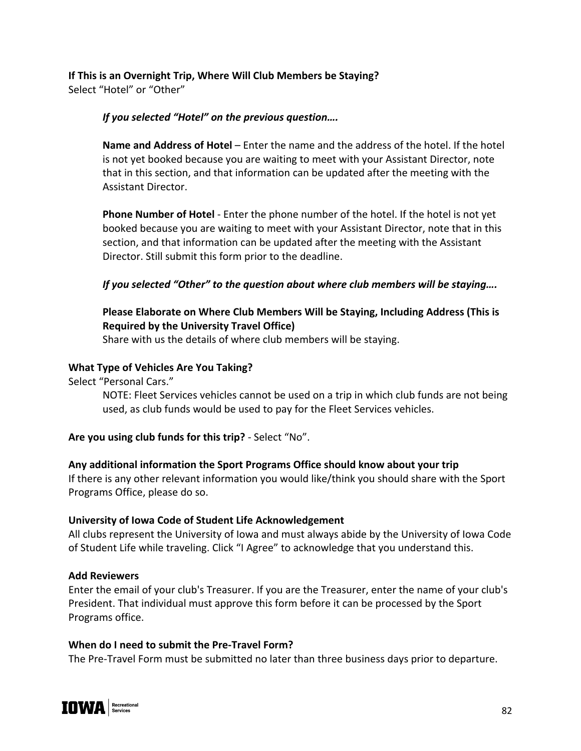# **If This is an Overnight Trip, Where Will Club Members be Staying?**  Select "Hotel" or "Other"

# *If you selected "Hotel" on the previous question….*

**Name and Address of Hotel** – Enter the name and the address of the hotel. If the hotel is not yet booked because you are waiting to meet with your Assistant Director, note that in this section, and that information can be updated after the meeting with the Assistant Director.

**Phone Number of Hotel** - Enter the phone number of the hotel. If the hotel is not yet booked because you are waiting to meet with your Assistant Director, note that in this section, and that information can be updated after the meeting with the Assistant Director. Still submit this form prior to the deadline.

# *If you selected "Other" to the question about where club members will be staying….*

# **Please Elaborate on Where Club Members Will be Staying, Including Address (This is Required by the University Travel Office)**

Share with us the details of where club members will be staying.

# **What Type of Vehicles Are You Taking?**

Select "Personal Cars."

NOTE: Fleet Services vehicles cannot be used on a trip in which club funds are not being used, as club funds would be used to pay for the Fleet Services vehicles.

# **Are you using club funds for this trip?** - Select "No".

# **Any additional information the Sport Programs Office should know about your trip**

If there is any other relevant information you would like/think you should share with the Sport Programs Office, please do so.

# **University of Iowa Code of Student Life Acknowledgement**

All clubs represent the University of Iowa and must always abide by the University of Iowa Code of Student Life while traveling. Click "I Agree" to acknowledge that you understand this.

# **Add Reviewers**

Enter the email of your club's Treasurer. If you are the Treasurer, enter the name of your club's President. That individual must approve this form before it can be processed by the Sport Programs office.

# **When do I need to submit the Pre-Travel Form?**

The Pre-Travel Form must be submitted no later than three business days prior to departure.

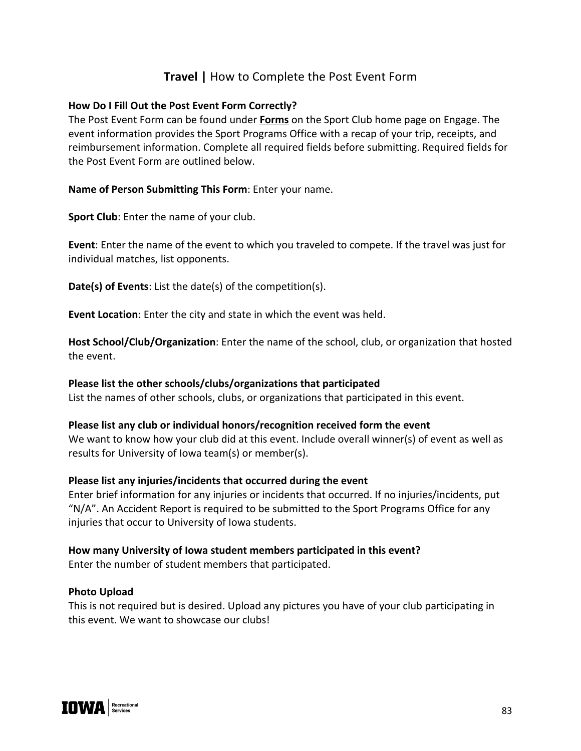# **Travel |** How to Complete the Post Event Form

#### **How Do I Fill Out the Post Event Form Correctly?**

The Post Event Form can be found under **Forms** on the Sport Club home page on Engage. The event information provides the Sport Programs Office with a recap of your trip, receipts, and reimbursement information. Complete all required fields before submitting. Required fields for the Post Event Form are outlined below.

#### **Name of Person Submitting This Form**: Enter your name.

**Sport Club**: Enter the name of your club.

**Event**: Enter the name of the event to which you traveled to compete. If the travel was just for individual matches, list opponents.

**Date(s) of Events**: List the date(s) of the competition(s).

**Event Location**: Enter the city and state in which the event was held.

**Host School/Club/Organization**: Enter the name of the school, club, or organization that hosted the event.

#### **Please list the other schools/clubs/organizations that participated** List the names of other schools, clubs, or organizations that participated in this event.

# **Please list any club or individual honors/recognition received form the event**

We want to know how your club did at this event. Include overall winner(s) of event as well as results for University of Iowa team(s) or member(s).

#### **Please list any injuries/incidents that occurred during the event**

Enter brief information for any injuries or incidents that occurred. If no injuries/incidents, put "N/A". An Accident Report is required to be submitted to the Sport Programs Office for any injuries that occur to University of Iowa students.

# **How many University of Iowa student members participated in this event?**

Enter the number of student members that participated.

#### **Photo Upload**

This is not required but is desired. Upload any pictures you have of your club participating in this event. We want to showcase our clubs!

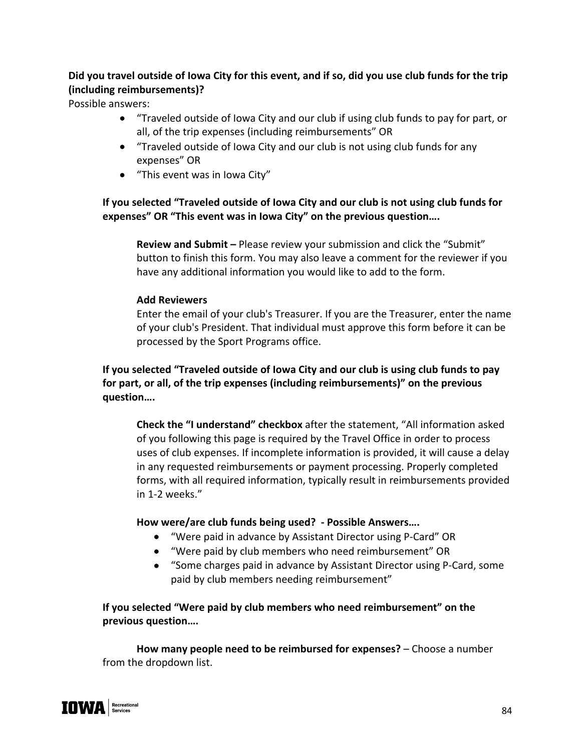# **Did you travel outside of Iowa City for this event, and if so, did you use club funds for the trip (including reimbursements)?**

Possible answers:

- "Traveled outside of Iowa City and our club if using club funds to pay for part, or all, of the trip expenses (including reimbursements" OR
- "Traveled outside of Iowa City and our club is not using club funds for any expenses" OR
- "This event was in Iowa City"

# **If you selected "Traveled outside of Iowa City and our club is not using club funds for expenses" OR "This event was in Iowa City" on the previous question….**

**Review and Submit –** Please review your submission and click the "Submit" button to finish this form. You may also leave a comment for the reviewer if you have any additional information you would like to add to the form.

# **Add Reviewers**

Enter the email of your club's Treasurer. If you are the Treasurer, enter the name of your club's President. That individual must approve this form before it can be processed by the Sport Programs office.

**If you selected "Traveled outside of Iowa City and our club is using club funds to pay for part, or all, of the trip expenses (including reimbursements)" on the previous question….**

**Check the "I understand" checkbox** after the statement, "All information asked of you following this page is required by the Travel Office in order to process uses of club expenses. If incomplete information is provided, it will cause a delay in any requested reimbursements or payment processing. Properly completed forms, with all required information, typically result in reimbursements provided in 1-2 weeks."

# **How were/are club funds being used? - Possible Answers….**

- "Were paid in advance by Assistant Director using P-Card" OR
- "Were paid by club members who need reimbursement" OR
- "Some charges paid in advance by Assistant Director using P-Card, some paid by club members needing reimbursement"

**If you selected "Were paid by club members who need reimbursement" on the previous question….**

**How many people need to be reimbursed for expenses?** – Choose a number from the dropdown list.

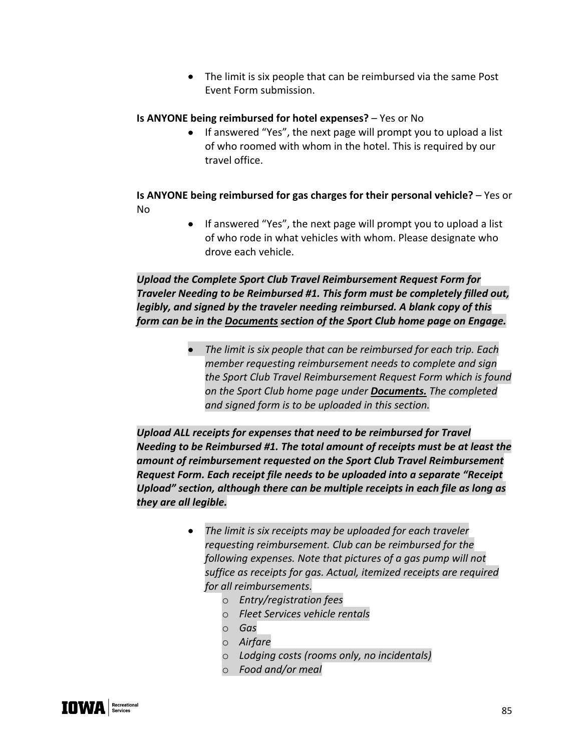• The limit is six people that can be reimbursed via the same Post Event Form submission.

#### **Is ANYONE being reimbursed for hotel expenses?** – Yes or No

• If answered "Yes", the next page will prompt you to upload a list of who roomed with whom in the hotel. This is required by our travel office.

**Is ANYONE being reimbursed for gas charges for their personal vehicle?** – Yes or No

> • If answered "Yes", the next page will prompt you to upload a list of who rode in what vehicles with whom. Please designate who drove each vehicle.

*Upload the Complete Sport Club Travel Reimbursement Request Form for Traveler Needing to be Reimbursed #1. This form must be completely filled out, legibly, and signed by the traveler needing reimbursed. A blank copy of this form can be in the Documents section of the Sport Club home page on Engage.* 

> • *The limit is six people that can be reimbursed for each trip. Each member requesting reimbursement needs to complete and sign the Sport Club Travel Reimbursement Request Form which is found on the Sport Club home page under Documents. The completed and signed form is to be uploaded in this section.*

*Upload ALL receipts for expenses that need to be reimbursed for Travel Needing to be Reimbursed #1. The total amount of receipts must be at least the amount of reimbursement requested on the Sport Club Travel Reimbursement Request Form. Each receipt file needs to be uploaded into a separate "Receipt Upload" section, although there can be multiple receipts in each file as long as they are all legible.*

- *The limit is six receipts may be uploaded for each traveler requesting reimbursement. Club can be reimbursed for the following expenses. Note that pictures of a gas pump will not suffice as receipts for gas. Actual, itemized receipts are required for all reimbursements.*
	- o *Entry/registration fees*
	- o *Fleet Services vehicle rentals*
	- o *Gas*
	- o *Airfare*
	- o *Lodging costs (rooms only, no incidentals)*
	- o *Food and/or meal*

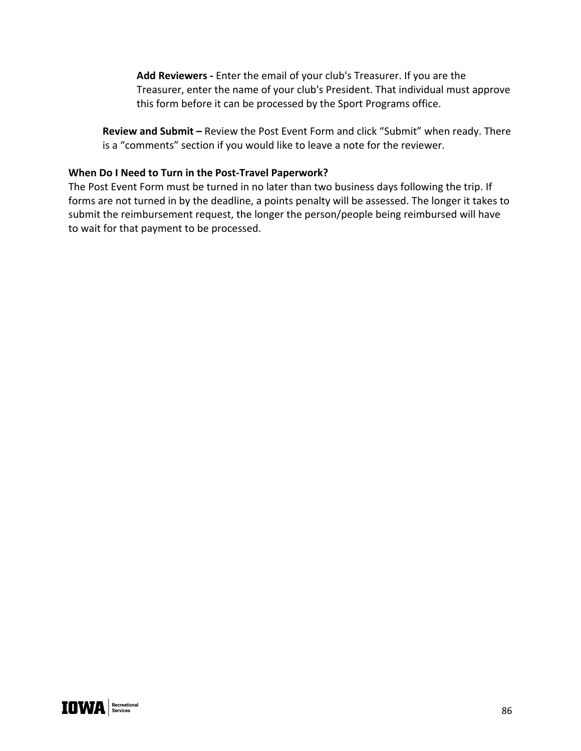**Add Reviewers -** Enter the email of your club's Treasurer. If you are the Treasurer, enter the name of your club's President. That individual must approve this form before it can be processed by the Sport Programs office.

**Review and Submit –** Review the Post Event Form and click "Submit" when ready. There is a "comments" section if you would like to leave a note for the reviewer.

#### **When Do I Need to Turn in the Post-Travel Paperwork?**

The Post Event Form must be turned in no later than two business days following the trip. If forms are not turned in by the deadline, a points penalty will be assessed. The longer it takes to submit the reimbursement request, the longer the person/people being reimbursed will have to wait for that payment to be processed.

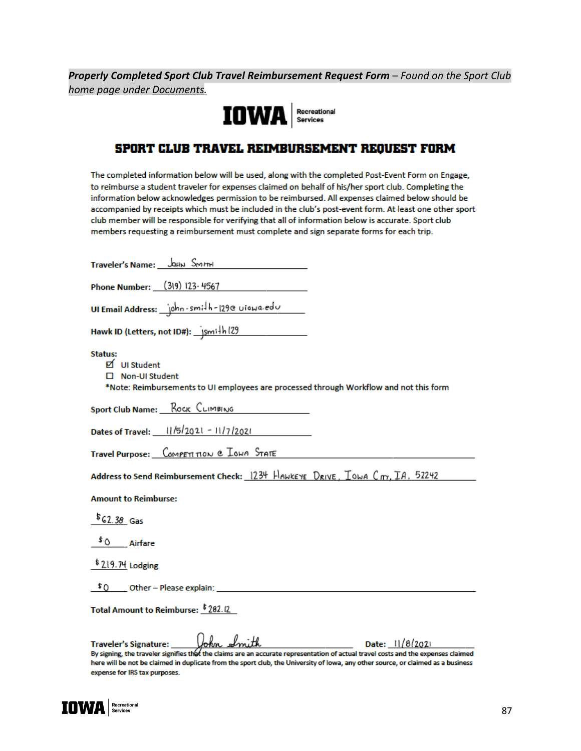*Properly Completed Sport Club Travel Reimbursement Request Form – Found on the Sport Club home page under Documents.*



# SPORT CLUB TRAVEL REIMBURSEMENT REQUEST FORM

The completed information below will be used, along with the completed Post-Event Form on Engage, to reimburse a student traveler for expenses claimed on behalf of his/her sport club. Completing the information below acknowledges permission to be reimbursed. All expenses claimed below should be accompanied by receipts which must be included in the club's post-event form. At least one other sport club member will be responsible for verifying that all of information below is accurate. Sport club members requesting a reimbursement must complete and sign separate forms for each trip.

| Traveler's Name: JOHN SMITH                                                                                                                                                                                                                                                                                                                               |
|-----------------------------------------------------------------------------------------------------------------------------------------------------------------------------------------------------------------------------------------------------------------------------------------------------------------------------------------------------------|
| Phone Number: (319) 123-4567                                                                                                                                                                                                                                                                                                                              |
| UI Email Address: john-smith-129e uiowa.edu                                                                                                                                                                                                                                                                                                               |
|                                                                                                                                                                                                                                                                                                                                                           |
| Status:<br>D UI Student<br>□ Non-UI Student<br>*Note: Reimbursements to UI employees are processed through Workflow and not this form                                                                                                                                                                                                                     |
| <b>Sport Club Name:</b> Rock CLIMBING                                                                                                                                                                                                                                                                                                                     |
| Dates of Travel: 11/5/2021 - 11/7/2021                                                                                                                                                                                                                                                                                                                    |
| Travel Purpose: COMPETITION & IONA STATE                                                                                                                                                                                                                                                                                                                  |
| Address to Send Reimbursement Check: 1234 HAMKEYE DRIVE, IOMA Cm, IA, 52242                                                                                                                                                                                                                                                                               |
| <b>Amount to Reimburse:</b>                                                                                                                                                                                                                                                                                                                               |
| $$62.38$ Gas                                                                                                                                                                                                                                                                                                                                              |
| $^{\text{5}}$ 0 $\_\_$ Airfare                                                                                                                                                                                                                                                                                                                            |
| $$219.74$ Lodging                                                                                                                                                                                                                                                                                                                                         |
| $$0$ Other - Please explain:                                                                                                                                                                                                                                                                                                                              |
| Total Amount to Reimburse: \$282.12                                                                                                                                                                                                                                                                                                                       |
| Date: 11/8/2021<br><b>Traveler's Signature:</b><br>By signing, the traveler signifies thet the claims are an accurate representation of actual travel costs and the expenses claimed<br>here will be not be claimed in duplicate from the sport club, the University of lowa, any other source, or claimed as a business<br>expense for IRS tax purposes. |

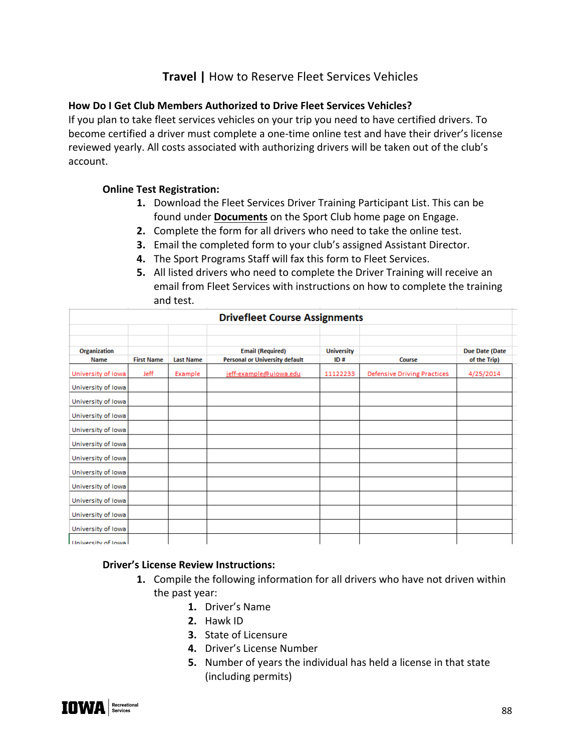# **Travel |** How to Reserve Fleet Services Vehicles

#### **How Do I Get Club Members Authorized to Drive Fleet Services Vehicles?**

If you plan to take fleet services vehicles on your trip you need to have certified drivers. To become certified a driver must complete a one-time online test and have their driver's license reviewed yearly. All costs associated with authorizing drivers will be taken out of the club's account.

#### **Online Test Registration:**

- **1.** Download the Fleet Services Driver Training Participant List. This can be found under **Documents** on the Sport Club home page on Engage.
- **2.** Complete the form for all drivers who need to take the online test.
- **3.** Email the completed form to your club's assigned Assistant Director.
- **4.** The Sport Programs Staff will fax this form to Fleet Services.
- **5.** All listed drivers who need to complete the Driver Training will receive an email from Fleet Services with instructions on how to complete the training and test.

|                           |                   |                  | <b>Drivefleet Course Assignments</b>                             |                          |                                    |                                       |  |
|---------------------------|-------------------|------------------|------------------------------------------------------------------|--------------------------|------------------------------------|---------------------------------------|--|
| Organization<br>Name      | <b>First Name</b> | <b>Last Name</b> | <b>Email (Required)</b><br><b>Personal or University default</b> | <b>University</b><br>ID# | Course                             | <b>Due Date (Date</b><br>of the Trip) |  |
| University of Iowa        | Jeff              | Example          | jeff-example@uiowa.edu                                           | 11122233                 | <b>Defensive Driving Practices</b> | 4/25/2014                             |  |
| University of Iowa        |                   |                  |                                                                  |                          |                                    |                                       |  |
| University of Iowa        |                   |                  |                                                                  |                          |                                    |                                       |  |
| University of Iowa        |                   |                  |                                                                  |                          |                                    |                                       |  |
| University of Iowa        |                   |                  |                                                                  |                          |                                    |                                       |  |
| University of Iowa        |                   |                  |                                                                  |                          |                                    |                                       |  |
| University of Iowa        |                   |                  |                                                                  |                          |                                    |                                       |  |
| University of Iowa        |                   |                  |                                                                  |                          |                                    |                                       |  |
| University of Iowa        |                   |                  |                                                                  |                          |                                    |                                       |  |
| University of Iowa        |                   |                  |                                                                  |                          |                                    |                                       |  |
| University of Iowa        |                   |                  |                                                                  |                          |                                    |                                       |  |
| University of Iowa        |                   |                  |                                                                  |                          |                                    |                                       |  |
| <b>Hniversity of Jowa</b> |                   |                  |                                                                  |                          |                                    |                                       |  |

#### **Driver's License Review Instructions:**

- **1.** Compile the following information for all drivers who have not driven within the past year:
	- **1.** Driver's Name
	- **2.** Hawk ID
	- **3.** State of Licensure
	- **4.** Driver's License Number
	- **5.** Number of years the individual has held a license in that state (including permits)

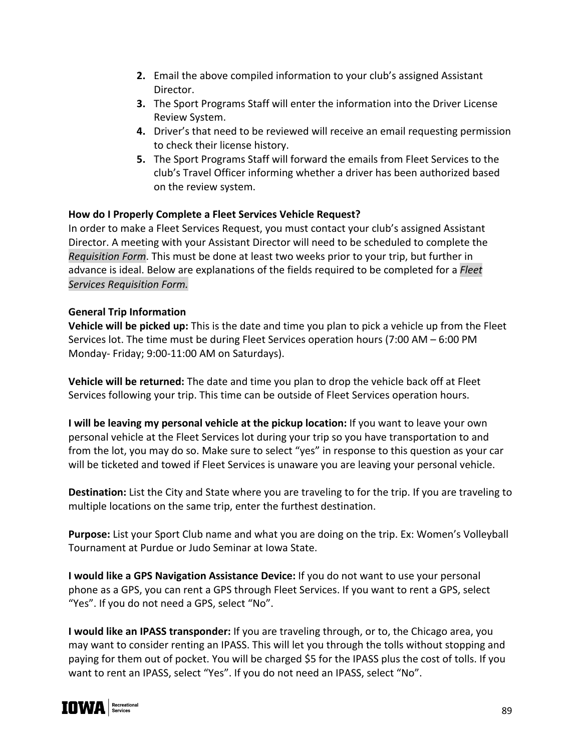- **2.** Email the above compiled information to your club's assigned Assistant Director.
- **3.** The Sport Programs Staff will enter the information into the Driver License Review System.
- **4.** Driver's that need to be reviewed will receive an email requesting permission to check their license history.
- **5.** The Sport Programs Staff will forward the emails from Fleet Services to the club's Travel Officer informing whether a driver has been authorized based on the review system.

# **How do I Properly Complete a Fleet Services Vehicle Request?**

In order to make a Fleet Services Request, you must contact your club's assigned Assistant Director. A meeting with your Assistant Director will need to be scheduled to complete the *Requisition Form*. This must be done at least two weeks prior to your trip, but further in advance is ideal. Below are explanations of the fields required to be completed for a *Fleet Services Requisition Form.*

# **General Trip Information**

**Vehicle will be picked up:** This is the date and time you plan to pick a vehicle up from the Fleet Services lot. The time must be during Fleet Services operation hours (7:00 AM – 6:00 PM Monday- Friday; 9:00-11:00 AM on Saturdays).

**Vehicle will be returned:** The date and time you plan to drop the vehicle back off at Fleet Services following your trip. This time can be outside of Fleet Services operation hours.

**I will be leaving my personal vehicle at the pickup location:** If you want to leave your own personal vehicle at the Fleet Services lot during your trip so you have transportation to and from the lot, you may do so. Make sure to select "yes" in response to this question as your car will be ticketed and towed if Fleet Services is unaware you are leaving your personal vehicle.

**Destination:** List the City and State where you are traveling to for the trip. If you are traveling to multiple locations on the same trip, enter the furthest destination.

**Purpose:** List your Sport Club name and what you are doing on the trip. Ex: Women's Volleyball Tournament at Purdue or Judo Seminar at Iowa State.

**I would like a GPS Navigation Assistance Device:** If you do not want to use your personal phone as a GPS, you can rent a GPS through Fleet Services. If you want to rent a GPS, select "Yes". If you do not need a GPS, select "No".

**I would like an IPASS transponder:** If you are traveling through, or to, the Chicago area, you may want to consider renting an IPASS. This will let you through the tolls without stopping and paying for them out of pocket. You will be charged \$5 for the IPASS plus the cost of tolls. If you want to rent an IPASS, select "Yes". If you do not need an IPASS, select "No".

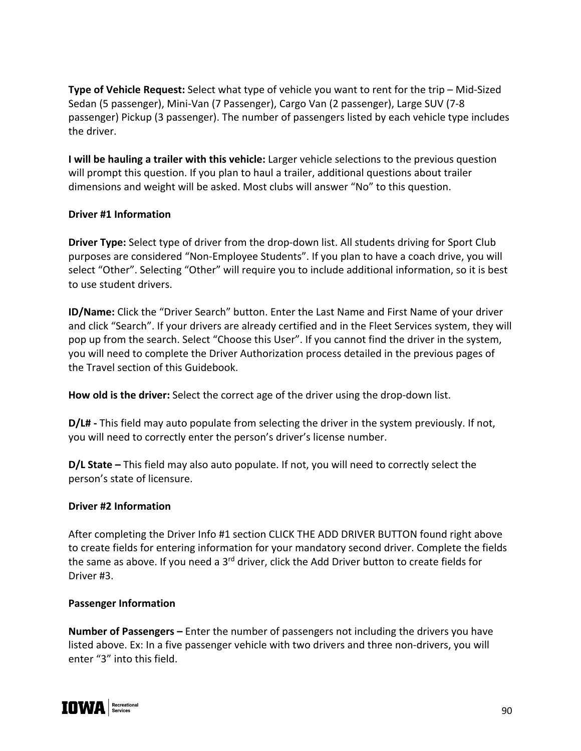**Type of Vehicle Request:** Select what type of vehicle you want to rent for the trip – Mid-Sized Sedan (5 passenger), Mini-Van (7 Passenger), Cargo Van (2 passenger), Large SUV (7-8 passenger) Pickup (3 passenger). The number of passengers listed by each vehicle type includes the driver.

**I will be hauling a trailer with this vehicle:** Larger vehicle selections to the previous question will prompt this question. If you plan to haul a trailer, additional questions about trailer dimensions and weight will be asked. Most clubs will answer "No" to this question.

#### **Driver #1 Information**

**Driver Type:** Select type of driver from the drop-down list. All students driving for Sport Club purposes are considered "Non-Employee Students". If you plan to have a coach drive, you will select "Other". Selecting "Other" will require you to include additional information, so it is best to use student drivers.

**ID/Name:** Click the "Driver Search" button. Enter the Last Name and First Name of your driver and click "Search". If your drivers are already certified and in the Fleet Services system, they will pop up from the search. Select "Choose this User". If you cannot find the driver in the system, you will need to complete the Driver Authorization process detailed in the previous pages of the Travel section of this Guidebook.

**How old is the driver:** Select the correct age of the driver using the drop-down list.

**D/L# -** This field may auto populate from selecting the driver in the system previously. If not, you will need to correctly enter the person's driver's license number.

**D/L State –** This field may also auto populate. If not, you will need to correctly select the person's state of licensure.

# **Driver #2 Information**

After completing the Driver Info #1 section CLICK THE ADD DRIVER BUTTON found right above to create fields for entering information for your mandatory second driver. Complete the fields the same as above. If you need a 3<sup>rd</sup> driver, click the Add Driver button to create fields for Driver #3.

#### **Passenger Information**

**Number of Passengers –** Enter the number of passengers not including the drivers you have listed above. Ex: In a five passenger vehicle with two drivers and three non-drivers, you will enter "3" into this field.